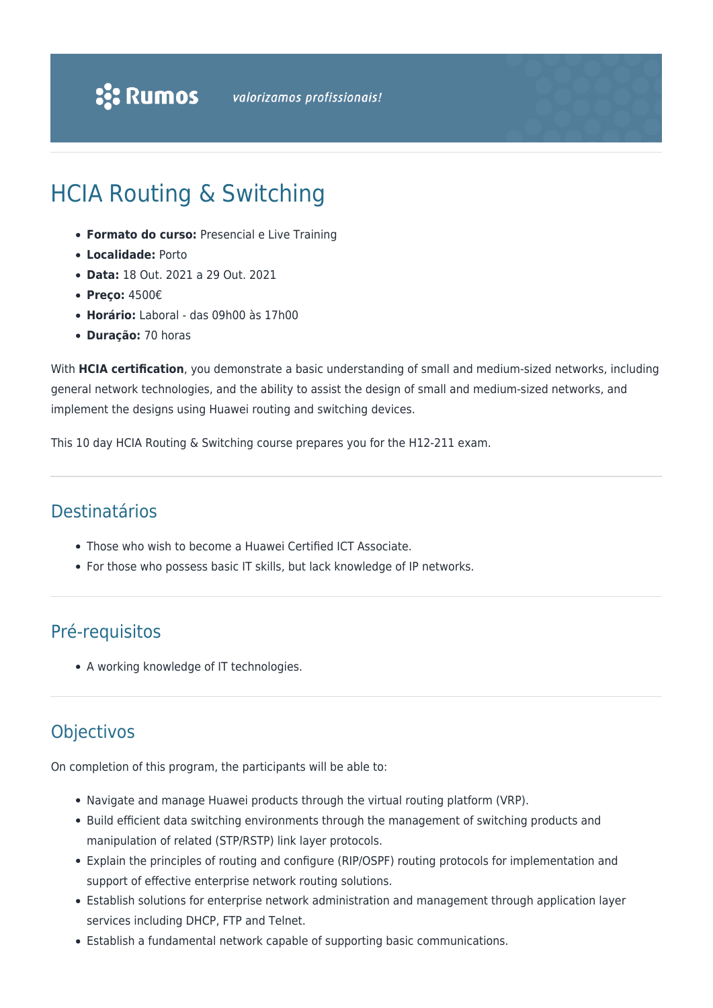# HCIA Routing & Switching

- **Formato do curso:** Presencial e Live Training
- **Localidade:** Porto
- **Data:** 18 Out. 2021 a 29 Out. 2021
- **Preço:** 4500€
- **Horário:** Laboral das 09h00 às 17h00
- **Duração:** 70 horas

With **HCIA certification**, you demonstrate a basic understanding of small and medium-sized networks, including general network technologies, and the ability to assist the design of small and medium-sized networks, and implement the designs using Huawei routing and switching devices.

This 10 day HCIA Routing & Switching course prepares you for the H12-211 exam.

### Destinatários

- Those who wish to become a Huawei Certified ICT Associate.
- For those who possess basic IT skills, but lack knowledge of IP networks.

# Pré-requisitos

A working knowledge of IT technologies.

# **Objectivos**

On completion of this program, the participants will be able to:

- Navigate and manage Huawei products through the virtual routing platform (VRP).
- Build efficient data switching environments through the management of switching products and manipulation of related (STP/RSTP) link layer protocols.
- Explain the principles of routing and configure (RIP/OSPF) routing protocols for implementation and support of effective enterprise network routing solutions.
- Establish solutions for enterprise network administration and management through application layer services including DHCP, FTP and Telnet.
- Establish a fundamental network capable of supporting basic communications.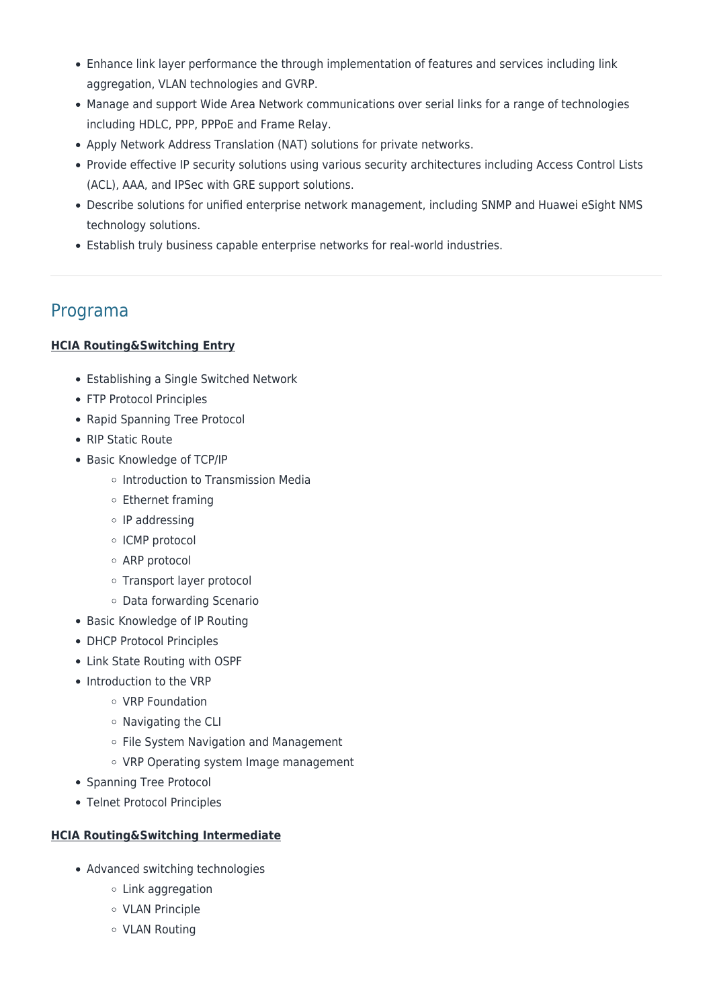- Enhance link layer performance the through implementation of features and services including link aggregation, VLAN technologies and GVRP.
- Manage and support Wide Area Network communications over serial links for a range of technologies including HDLC, PPP, PPPoE and Frame Relay.
- Apply Network Address Translation (NAT) solutions for private networks.
- Provide effective IP security solutions using various security architectures including Access Control Lists (ACL), AAA, and IPSec with GRE support solutions.
- Describe solutions for unified enterprise network management, including SNMP and Huawei eSight NMS technology solutions.
- Establish truly business capable enterprise networks for real-world industries.

### Programa

#### **HCIA Routing&Switching Entry**

- Establishing a Single Switched Network
- FTP Protocol Principles
- Rapid Spanning Tree Protocol
- RIP Static Route
- Basic Knowledge of TCP/IP
	- $\circ$  Introduction to Transmission Media
	- Ethernet framing
	- $\circ$  IP addressing
	- ICMP protocol
	- ARP protocol
	- Transport layer protocol
	- Data forwarding Scenario
- Basic Knowledge of IP Routing
- DHCP Protocol Principles
- Link State Routing with OSPF
- Introduction to the VRP
	- VRP Foundation
	- $\circ$  Navigating the CLI
	- o File System Navigation and Management
	- o VRP Operating system Image management
- Spanning Tree Protocol
- Telnet Protocol Principles

#### **HCIA Routing&Switching Intermediate**

- Advanced switching technologies
	- Link aggregation
	- VLAN Principle
	- VLAN Routing